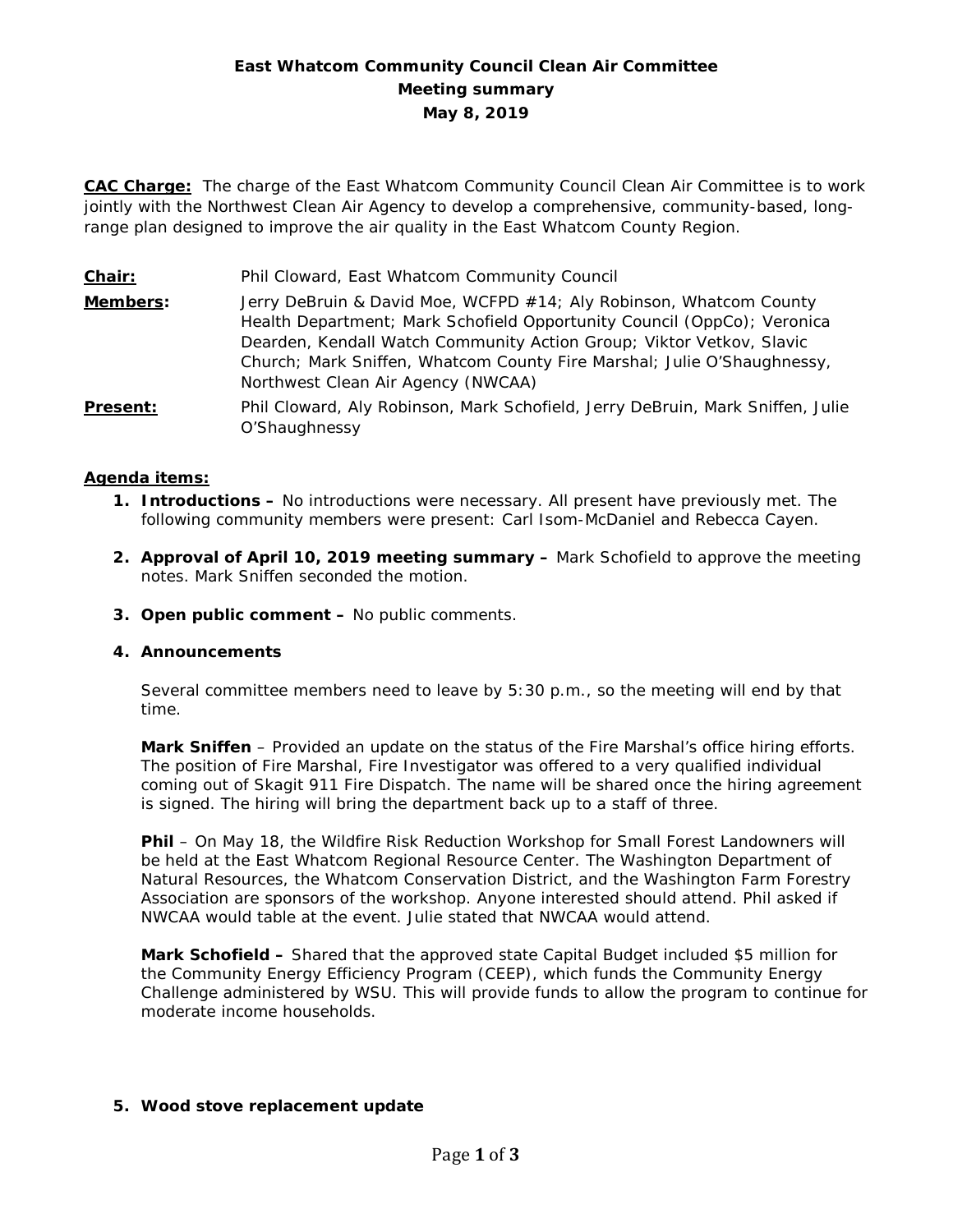# **East Whatcom Community Council Clean Air Committee Meeting summary May 8, 2019**

**CAC Charge:** The charge of the East Whatcom Community Council Clean Air Committee is to work jointly with the Northwest Clean Air Agency to develop a comprehensive, community-based, longrange plan designed to improve the air quality in the East Whatcom County Region.

**Chair:** Phil Cloward, East Whatcom Community Council **Members:** Jerry DeBruin & David Moe, WCFPD #14; Aly Robinson, Whatcom County Health Department; Mark Schofield Opportunity Council (OppCo); Veronica Dearden, Kendall Watch Community Action Group; Viktor Vetkov, Slavic Church; Mark Sniffen, Whatcom County Fire Marshal; Julie O'Shaughnessy, Northwest Clean Air Agency (NWCAA) **Present:** Phil Cloward, Aly Robinson, Mark Schofield, Jerry DeBruin, Mark Sniffen, Julie O'Shaughnessy

## **Agenda items:**

- **1. Introductions –** No introductions were necessary. All present have previously met. The following community members were present: Carl Isom-McDaniel and Rebecca Cayen.
- **2. Approval of April 10, 2019 meeting summary –** Mark Schofield to approve the meeting notes. Mark Sniffen seconded the motion.
- **3. Open public comment –** No public comments.

### **4. Announcements**

Several committee members need to leave by 5:30 p.m., so the meeting will end by that time.

**Mark Sniffen** – Provided an update on the status of the Fire Marshal's office hiring efforts. The position of Fire Marshal, Fire Investigator was offered to a very qualified individual coming out of Skagit 911 Fire Dispatch. The name will be shared once the hiring agreement is signed. The hiring will bring the department back up to a staff of three.

**Phil** – On May 18, the Wildfire Risk Reduction Workshop for Small Forest Landowners will be held at the East Whatcom Regional Resource Center. The Washington Department of Natural Resources, the Whatcom Conservation District, and the Washington Farm Forestry Association are sponsors of the workshop. Anyone interested should attend. Phil asked if NWCAA would table at the event. Julie stated that NWCAA would attend.

**Mark Schofield –** Shared that the approved state Capital Budget included \$5 million for the Community Energy Efficiency Program (CEEP), which funds the Community Energy Challenge administered by WSU. This will provide funds to allow the program to continue for moderate income households.

#### **5. Wood stove replacement update**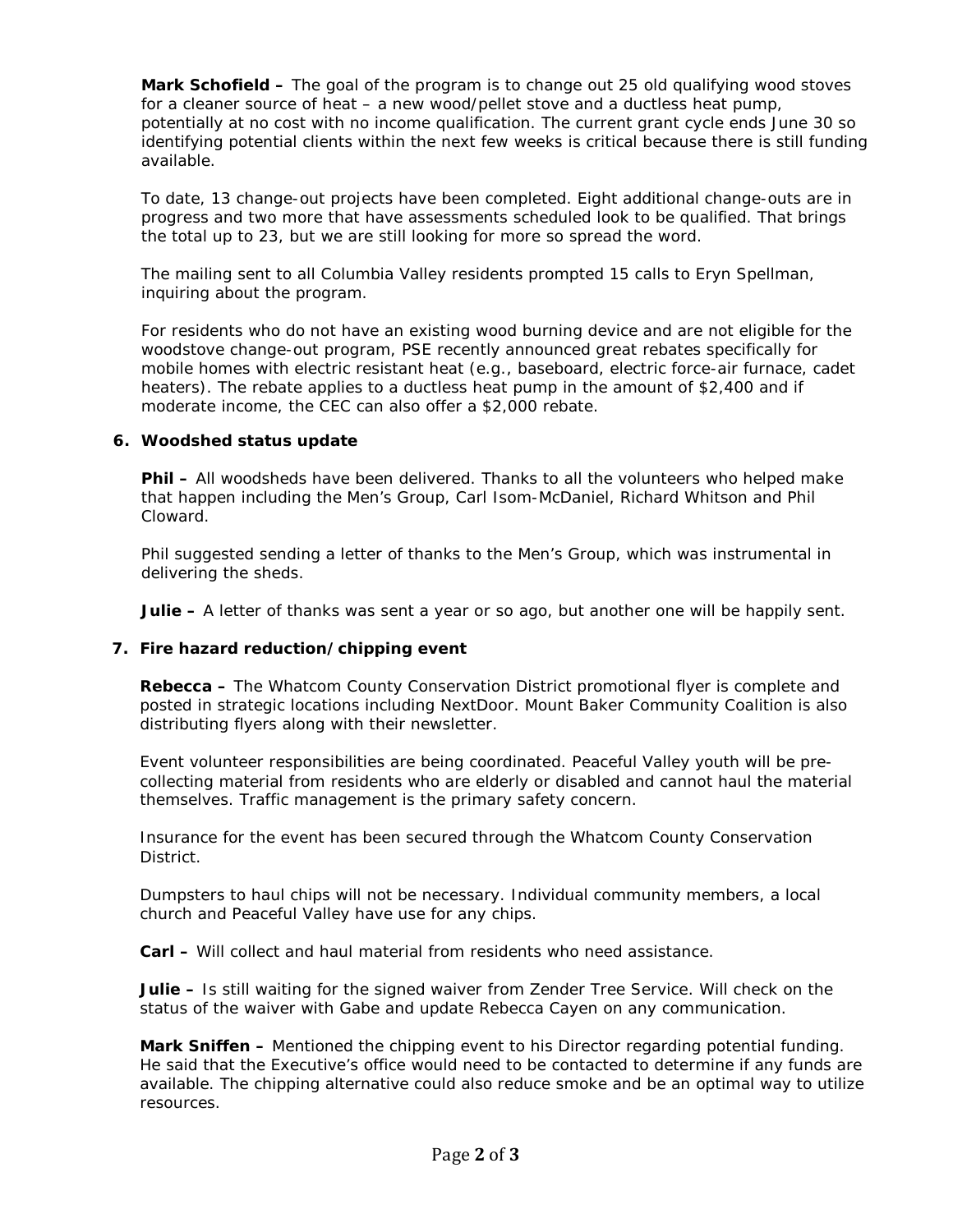**Mark Schofield –** The goal of the program is to change out 25 old qualifying wood stoves for a cleaner source of heat – a new wood/pellet stove and a ductless heat pump, potentially at no cost with no income qualification. The current grant cycle ends June 30 so identifying potential clients within the next few weeks is critical because there is still funding available.

To date, 13 change-out projects have been completed. Eight additional change-outs are in progress and two more that have assessments scheduled look to be qualified. That brings the total up to 23, but we are still looking for more so spread the word.

The mailing sent to all Columbia Valley residents prompted 15 calls to Eryn Spellman, inquiring about the program.

For residents who do not have an existing wood burning device and are not eligible for the woodstove change-out program, PSE recently announced great rebates specifically for mobile homes with electric resistant heat (e.g., baseboard, electric force-air furnace, cadet heaters). The rebate applies to a ductless heat pump in the amount of \$2,400 and if moderate income, the CEC can also offer a \$2,000 rebate.

### **6. Woodshed status update**

**Phil –** All woodsheds have been delivered. Thanks to all the volunteers who helped make that happen including the Men's Group, Carl Isom-McDaniel, Richard Whitson and Phil Cloward.

Phil suggested sending a letter of thanks to the Men's Group, which was instrumental in delivering the sheds.

**Julie –** A letter of thanks was sent a year or so ago, but another one will be happily sent.

### **7. Fire hazard reduction/chipping event**

**Rebecca –** The Whatcom County Conservation District promotional flyer is complete and posted in strategic locations including NextDoor. Mount Baker Community Coalition is also distributing flyers along with their newsletter.

Event volunteer responsibilities are being coordinated. Peaceful Valley youth will be precollecting material from residents who are elderly or disabled and cannot haul the material themselves. Traffic management is the primary safety concern.

Insurance for the event has been secured through the Whatcom County Conservation District.

Dumpsters to haul chips will not be necessary. Individual community members, a local church and Peaceful Valley have use for any chips.

**Carl –** Will collect and haul material from residents who need assistance.

**Julie –** Is still waiting for the signed waiver from Zender Tree Service. Will check on the status of the waiver with Gabe and update Rebecca Cayen on any communication.

**Mark Sniffen –** Mentioned the chipping event to his Director regarding potential funding. He said that the Executive's office would need to be contacted to determine if any funds are available. The chipping alternative could also reduce smoke and be an optimal way to utilize resources.